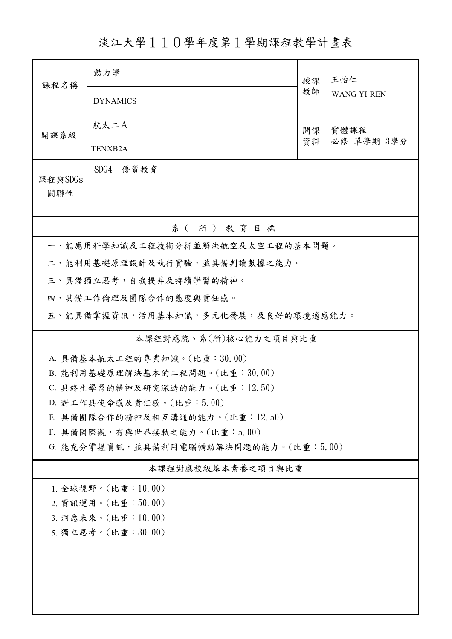淡江大學110學年度第1學期課程教學計畫表

| 課程名稱                                  | 動力學                                                         | 授課<br>教師 | 王怡仁                |  |  |  |
|---------------------------------------|-------------------------------------------------------------|----------|--------------------|--|--|--|
|                                       | <b>DYNAMICS</b>                                             |          | <b>WANG YI-REN</b> |  |  |  |
| 開課系級                                  | 航太二A                                                        | 開課<br>資料 | 實體課程<br>必修 單學期 3學分 |  |  |  |
|                                       | <b>TENXB2A</b>                                              |          |                    |  |  |  |
| 課程與SDGs<br>關聯性                        | SDG4 優質教育                                                   |          |                    |  |  |  |
|                                       | 系(所)教育目標                                                    |          |                    |  |  |  |
|                                       | 一、能應用科學知識及工程技術分析並解決航空及太空工程的基本問題。                            |          |                    |  |  |  |
|                                       | 二、能利用基礎原理設計及執行實驗,並具備判讀數據之能力。                                |          |                    |  |  |  |
|                                       | 三、具備獨立思考,自我提昇及持續學習的精神。                                      |          |                    |  |  |  |
|                                       | 四、具備工作倫理及團隊合作的態度與責任感。                                       |          |                    |  |  |  |
|                                       | 五、能具備掌握資訊,活用基本知識,多元化發展,及良好的環境適應能力。                          |          |                    |  |  |  |
|                                       | 本課程對應院、系(所)核心能力之項目與比重                                       |          |                    |  |  |  |
|                                       | A. 具備基本航太工程的專業知識。(比重:30.00)                                 |          |                    |  |  |  |
|                                       | B. 能利用基礎原理解決基本的工程問題。(比重:30.00)                              |          |                    |  |  |  |
|                                       | C. 具終生學習的精神及研究深造的能力。(比重:12.50)                              |          |                    |  |  |  |
|                                       | D. 對工作具使命感及責任感。(比重:5.00)<br>E. 具備團隊合作的精神及相互溝通的能力。(比重:12.50) |          |                    |  |  |  |
| F. 具備國際觀,有與世界接軌之能力。(比重:5.00)          |                                                             |          |                    |  |  |  |
| G. 能充分掌握資訊,並具備利用電腦輔助解決問題的能力。(比重:5.00) |                                                             |          |                    |  |  |  |
| 本課程對應校級基本素養之項目與比重                     |                                                             |          |                    |  |  |  |
| 1. 全球視野。(比重: 10.00)                   |                                                             |          |                    |  |  |  |
| 2. 資訊運用。(比重:50.00)                    |                                                             |          |                    |  |  |  |
| 3. 洞悉未來。(比重:10.00)                    |                                                             |          |                    |  |  |  |
| 5. 獨立思考。(比重:30.00)                    |                                                             |          |                    |  |  |  |
|                                       |                                                             |          |                    |  |  |  |
|                                       |                                                             |          |                    |  |  |  |
|                                       |                                                             |          |                    |  |  |  |
|                                       |                                                             |          |                    |  |  |  |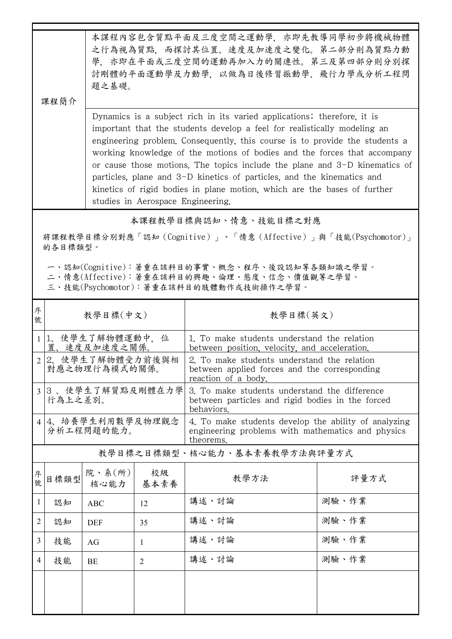| 本課程內容包含質點平面及三度空間之運動學,亦即先教導同學初步將機械物體 |  |
|-------------------------------------|--|
| 之行為視為質點,而探討其位置、速度及加速度之變化。第二部分則為質點力動 |  |
| 學,亦即在平面或三度空間的運動再加入力的關連性。第三及第四部分則分別探 |  |
| 討剛體的平面運動學及力動學,以做為日後修習振動學、飛行力學或分析工程問 |  |
| 題之基礎。                               |  |

課程簡介

Dynamics is a subject rich in its varied applications; therefore, it is important that the students develop a feel for realistically modeling an engineering problem. Consequently, this course is to provide the students a working knowledge of the motions of bodies and the forces that accompany or cause those motions. The topics include the plane and 3-D kinematics of particles, plane and 3-D kinetics of particles, and the kinematics and kinetics of rigid bodies in plane motion, which are the bases of further studies in Aerospace Engineering.

本課程教學目標與認知、情意、技能目標之對應

將課程教學目標分別對應「認知(Cognitive)」、「情意(Affective)」與「技能(Psychomotor)」 的各目標類型。

一、認知(Cognitive):著重在該科目的事實、概念、程序、後設認知等各類知識之學習。

二、情意(Affective):著重在該科目的興趣、倫理、態度、信念、價值觀等之學習。

三、技能(Psychomotor):著重在該科目的肢體動作或技術操作之學習。

| 序<br>號         | 教學目標(中文)                           |                               |                | 教學目標(英文)                                                                                                               |       |
|----------------|------------------------------------|-------------------------------|----------------|------------------------------------------------------------------------------------------------------------------------|-------|
|                | 1 1、使學生了解物體運動中, 位<br>置、速度及加速度之關係。  |                               |                | 1. To make students understand the relation<br>between position, velocity, and acceleration.                           |       |
|                | 2 2、使學生了解物體受力前後與相<br>對應之物理行為模式的關係。 |                               |                | 2. To make students understand the relation<br>between applied forces and the corresponding<br>reaction of a body.     |       |
|                | 3 3、使學生了解質點及剛體在力學<br>行為上之差別。       |                               |                | 3. To make students understand the difference<br>between particles and rigid bodies in the forced<br>behaviors.        |       |
|                | 4 4、培養學生利用數學及物理觀念<br>分析工程問題的能力。    |                               |                | 4. To make students develop the ability of analyzing<br>engineering problems with mathematics and physics<br>theorems. |       |
|                | 教學目標之目標類型、核心能力、基本素養教學方法與評量方式       |                               |                |                                                                                                                        |       |
| 序號             | 目標類型                               | 院、系 $(\kappa)$<br>核心能力   基本素養 | 校級             | 教學方法                                                                                                                   | 評量方式  |
| $\mathbf{1}$   | 認知                                 | <b>ABC</b>                    | 12             | 講述、討論                                                                                                                  | 測驗、作業 |
| 2              | 認知                                 | <b>DEF</b>                    | 35             | 講述、討論                                                                                                                  | 測驗、作業 |
| 3              | 技能                                 | AG                            | 1              | 講述、討論                                                                                                                  | 測驗、作業 |
| $\overline{4}$ | 技能                                 | <b>BE</b>                     | $\overline{2}$ | 講述、討論                                                                                                                  | 測驗、作業 |
|                |                                    |                               |                |                                                                                                                        |       |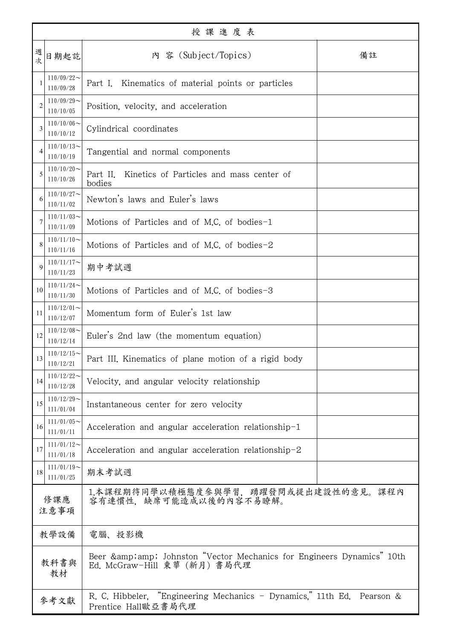| 授課進度表          |                               |                                                                                                     |  |  |
|----------------|-------------------------------|-----------------------------------------------------------------------------------------------------|--|--|
| 週<br>次         | 日期起訖                          | 內 容 (Subject/Topics)<br>備註                                                                          |  |  |
|                | $110/09/22$ ~<br>110/09/28    | Kinematics of material points or particles<br>Part I.                                               |  |  |
| $\overline{2}$ | $110/09/29$ ~<br>110/10/05    | Position, velocity, and acceleration                                                                |  |  |
| 3              | $110/10/06 \sim$<br>110/10/12 | Cylindrical coordinates                                                                             |  |  |
| $\overline{4}$ | $110/10/13$ ~<br>110/10/19    | Tangential and normal components                                                                    |  |  |
| 5              | $110/10/20$ ~<br>110/10/26    | Part II.<br>Kinetics of Particles and mass center of<br>bodies                                      |  |  |
| 6              | $110/10/27$ ~<br>110/11/02    | Newton's laws and Euler's laws                                                                      |  |  |
|                | $110/11/03$ ~<br>110/11/09    | Motions of Particles and of M.C. of bodies-1                                                        |  |  |
| 8              | $110/11/10$ ~<br>110/11/16    | Motions of Particles and of M.C. of bodies-2                                                        |  |  |
| $\mathbf Q$    | $110/11/17$ ~<br>110/11/23    | 期中考試週                                                                                               |  |  |
| 10             | $110/11/24$ ~<br>110/11/30    | Motions of Particles and of M.C. of bodies-3                                                        |  |  |
| 11             | $110/12/01$ ~<br>110/12/07    | Momentum form of Euler's 1st law                                                                    |  |  |
| 12             | $110/12/08$ ~<br>110/12/14    | Euler's 2nd law (the momentum equation)                                                             |  |  |
| 13             | $110/12/15$ ~<br>110/12/21    | Part III. Kinematics of plane motion of a rigid body                                                |  |  |
| 14             | $110/12/22$ ~<br>110/12/28    | Velocity, and angular velocity relationship                                                         |  |  |
| 15             | $110/12/29$ ~<br>111/01/04    | Instantaneous center for zero velocity                                                              |  |  |
| 16             | $111/01/05$ ~<br>111/01/11    | Acceleration and angular acceleration relationship-1                                                |  |  |
| 17             | $111/01/12$ ~<br>111/01/18    | Acceleration and angular acceleration relationship-2                                                |  |  |
| 18             | $111/01/19$ ~<br>111/01/25    | 期末考試週                                                                                               |  |  |
| 修課應<br>注意事項    |                               | 1.本課程期待同學以積極態度參與學習,踴躍發問或提出建設性的意見。課程內<br>容有連慣性、缺席可能造成以後的內容不易瞭解。                                      |  |  |
| 教學設備           |                               | 電腦、投影機                                                                                              |  |  |
| 教科書與<br>教材     |                               | Beer & amp; Johnston "Vector Mechanics for Engineers Dynamics" 10th<br>Ed. McGraw-Hill 東華 (新月) 書局代理 |  |  |
| 參考文獻           |                               | R. C. Hibbeler, "Engineering Mechanics - Dynamics," 11th Ed. Pearson &<br>Prentice Hall歐亞書局代理       |  |  |